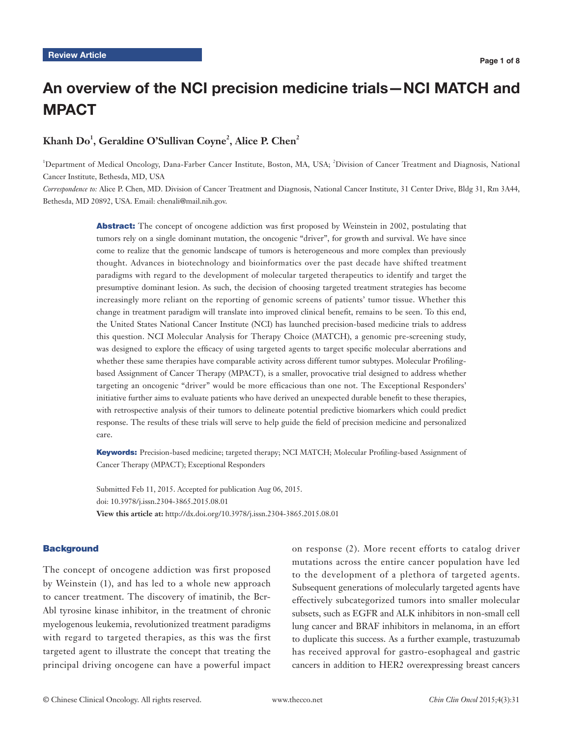# An overview of the NCI precision medicine trials—NCI MATCH and MPACT

# **Khanh Do1 , Geraldine O'Sullivan Coyne2 , Alice P. Chen2**

<sup>1</sup>Department of Medical Oncology, Dana-Farber Cancer Institute, Boston, MA, USA; <sup>2</sup>Division of Cancer Treatment and Diagnosis, National Cancer Institute, Bethesda, MD, USA

*Correspondence to:* Alice P. Chen, MD. Division of Cancer Treatment and Diagnosis, National Cancer Institute, 31 Center Drive, Bldg 31, Rm 3A44, Bethesda, MD 20892, USA. Email: chenali@mail.nih.gov.

> Abstract: The concept of oncogene addiction was first proposed by Weinstein in 2002, postulating that tumors rely on a single dominant mutation, the oncogenic "driver", for growth and survival. We have since come to realize that the genomic landscape of tumors is heterogeneous and more complex than previously thought. Advances in biotechnology and bioinformatics over the past decade have shifted treatment paradigms with regard to the development of molecular targeted therapeutics to identify and target the presumptive dominant lesion. As such, the decision of choosing targeted treatment strategies has become increasingly more reliant on the reporting of genomic screens of patients' tumor tissue. Whether this change in treatment paradigm will translate into improved clinical benefit, remains to be seen. To this end, the United States National Cancer Institute (NCI) has launched precision-based medicine trials to address this question. NCI Molecular Analysis for Therapy Choice (MATCH), a genomic pre-screening study, was designed to explore the efficacy of using targeted agents to target specific molecular aberrations and whether these same therapies have comparable activity across different tumor subtypes. Molecular Profilingbased Assignment of Cancer Therapy (MPACT), is a smaller, provocative trial designed to address whether targeting an oncogenic "driver" would be more efficacious than one not. The Exceptional Responders' initiative further aims to evaluate patients who have derived an unexpected durable benefit to these therapies, with retrospective analysis of their tumors to delineate potential predictive biomarkers which could predict response. The results of these trials will serve to help guide the field of precision medicine and personalized care.

> Keywords: Precision-based medicine; targeted therapy; NCI MATCH; Molecular Profiling-based Assignment of Cancer Therapy (MPACT); Exceptional Responders

Submitted Feb 11, 2015. Accepted for publication Aug 06, 2015. doi: 10.3978/j.issn.2304-3865.2015.08.01 **View this article at:** http://dx.doi.org/10.3978/j.issn.2304-3865.2015.08.01

### **Background**

The concept of oncogene addiction was first proposed by Weinstein (1), and has led to a whole new approach to cancer treatment. The discovery of imatinib, the Bcr-Abl tyrosine kinase inhibitor, in the treatment of chronic myelogenous leukemia, revolutionized treatment paradigms with regard to targeted therapies, as this was the first targeted agent to illustrate the concept that treating the principal driving oncogene can have a powerful impact

on response (2). More recent efforts to catalog driver mutations across the entire cancer population have led to the development of a plethora of targeted agents. Subsequent generations of molecularly targeted agents have effectively subcategorized tumors into smaller molecular subsets, such as EGFR and ALK inhibitors in non-small cell lung cancer and BRAF inhibitors in melanoma, in an effort to duplicate this success. As a further example, trastuzumab has received approval for gastro-esophageal and gastric cancers in addition to HER2 overexpressing breast cancers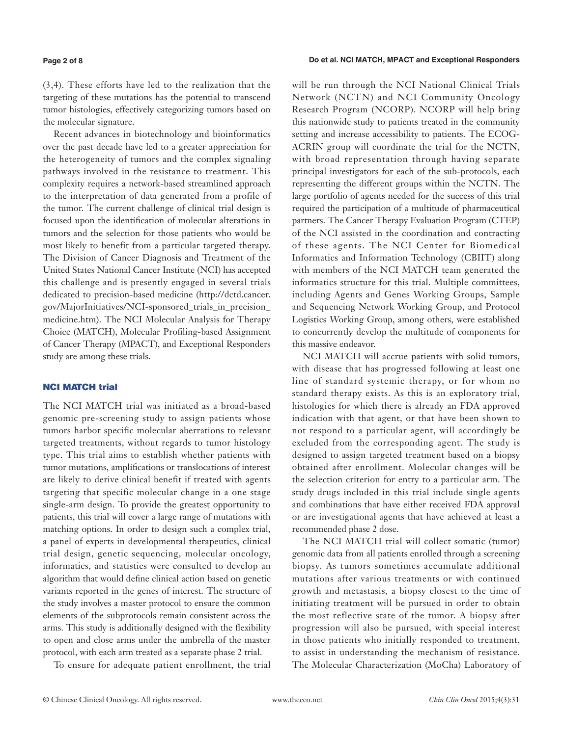#### **Page 2 of 8**

(3,4). These efforts have led to the realization that the targeting of these mutations has the potential to transcend tumor histologies, effectively categorizing tumors based on the molecular signature.

Recent advances in biotechnology and bioinformatics over the past decade have led to a greater appreciation for the heterogeneity of tumors and the complex signaling pathways involved in the resistance to treatment. This complexity requires a network-based streamlined approach to the interpretation of data generated from a profile of the tumor. The current challenge of clinical trial design is focused upon the identification of molecular alterations in tumors and the selection for those patients who would be most likely to benefit from a particular targeted therapy. The Division of Cancer Diagnosis and Treatment of the United States National Cancer Institute (NCI) has accepted this challenge and is presently engaged in several trials dedicated to precision-based medicine (http://dctd.cancer. gov/MajorInitiatives/NCI-sponsored\_trials\_in\_precision\_ medicine.htm). The NCI Molecular Analysis for Therapy Choice (MATCH), Molecular Profiling-based Assignment of Cancer Therapy (MPACT), and Exceptional Responders study are among these trials.

# NCI MATCH trial

The NCI MATCH trial was initiated as a broad-based genomic pre-screening study to assign patients whose tumors harbor specific molecular aberrations to relevant targeted treatments, without regards to tumor histology type. This trial aims to establish whether patients with tumor mutations, amplifications or translocations of interest are likely to derive clinical benefit if treated with agents targeting that specific molecular change in a one stage single-arm design. To provide the greatest opportunity to patients, this trial will cover a large range of mutations with matching options. In order to design such a complex trial, a panel of experts in developmental therapeutics, clinical trial design, genetic sequencing, molecular oncology, informatics, and statistics were consulted to develop an algorithm that would define clinical action based on genetic variants reported in the genes of interest. The structure of the study involves a master protocol to ensure the common elements of the subprotocols remain consistent across the arms. This study is additionally designed with the flexibility to open and close arms under the umbrella of the master protocol, with each arm treated as a separate phase 2 trial.

To ensure for adequate patient enrollment, the trial

will be run through the NCI National Clinical Trials Network (NCTN) and NCI Community Oncology Research Program (NCORP). NCORP will help bring this nationwide study to patients treated in the community setting and increase accessibility to patients. The ECOG-ACRIN group will coordinate the trial for the NCTN, with broad representation through having separate principal investigators for each of the sub-protocols, each representing the different groups within the NCTN. The large portfolio of agents needed for the success of this trial required the participation of a multitude of pharmaceutical partners. The Cancer Therapy Evaluation Program (CTEP) of the NCI assisted in the coordination and contracting of these agents. The NCI Center for Biomedical Informatics and Information Technology (CBIIT) along with members of the NCI MATCH team generated the informatics structure for this trial. Multiple committees, including Agents and Genes Working Groups, Sample and Sequencing Network Working Group, and Protocol Logistics Working Group, among others, were established to concurrently develop the multitude of components for this massive endeavor.

NCI MATCH will accrue patients with solid tumors, with disease that has progressed following at least one line of standard systemic therapy, or for whom no standard therapy exists. As this is an exploratory trial, histologies for which there is already an FDA approved indication with that agent, or that have been shown to not respond to a particular agent, will accordingly be excluded from the corresponding agent. The study is designed to assign targeted treatment based on a biopsy obtained after enrollment. Molecular changes will be the selection criterion for entry to a particular arm. The study drugs included in this trial include single agents and combinations that have either received FDA approval or are investigational agents that have achieved at least a recommended phase 2 dose.

The NCI MATCH trial will collect somatic (tumor) genomic data from all patients enrolled through a screening biopsy. As tumors sometimes accumulate additional mutations after various treatments or with continued growth and metastasis, a biopsy closest to the time of initiating treatment will be pursued in order to obtain the most reflective state of the tumor. A biopsy after progression will also be pursued, with special interest in those patients who initially responded to treatment, to assist in understanding the mechanism of resistance. The Molecular Characterization (MoCha) Laboratory of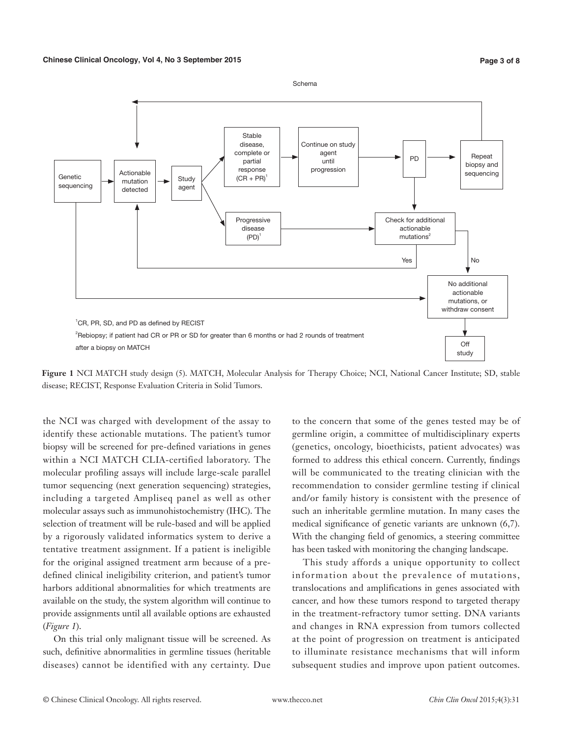

**Figure 1** NCI MATCH study design (5). MATCH, Molecular Analysis for Therapy Choice; NCI, National Cancer Institute; SD, stable disease; RECIST, Response Evaluation Criteria in Solid Tumors.

the NCI was charged with development of the assay to identify these actionable mutations. The patient's tumor biopsy will be screened for pre-defined variations in genes within a NCI MATCH CLIA-certified laboratory. The molecular profiling assays will include large-scale parallel tumor sequencing (next generation sequencing) strategies, including a targeted Ampliseq panel as well as other molecular assays such as immunohistochemistry (IHC). The selection of treatment will be rule-based and will be applied by a rigorously validated informatics system to derive a tentative treatment assignment. If a patient is ineligible for the original assigned treatment arm because of a predefined clinical ineligibility criterion, and patient's tumor harbors additional abnormalities for which treatments are available on the study, the system algorithm will continue to provide assignments until all available options are exhausted (*Figure 1*).

On this trial only malignant tissue will be screened. As such, definitive abnormalities in germline tissues (heritable diseases) cannot be identified with any certainty. Due

to the concern that some of the genes tested may be of germline origin, a committee of multidisciplinary experts (genetics, oncology, bioethicists, patient advocates) was formed to address this ethical concern. Currently, findings will be communicated to the treating clinician with the recommendation to consider germline testing if clinical and/or family history is consistent with the presence of such an inheritable germline mutation. In many cases the medical significance of genetic variants are unknown (6,7). With the changing field of genomics, a steering committee has been tasked with monitoring the changing landscape.

This study affords a unique opportunity to collect information about the prevalence of mutations, translocations and amplifications in genes associated with cancer, and how these tumors respond to targeted therapy in the treatment-refractory tumor setting. DNA variants and changes in RNA expression from tumors collected at the point of progression on treatment is anticipated to illuminate resistance mechanisms that will inform subsequent studies and improve upon patient outcomes.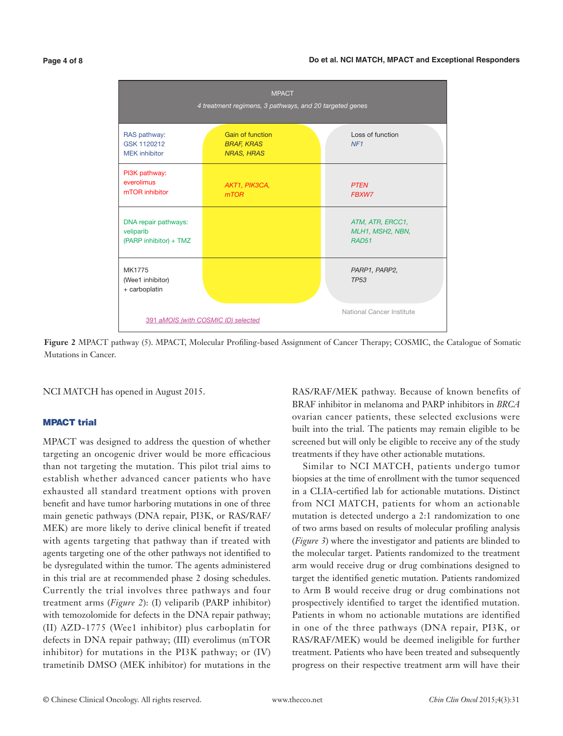

**Figure 2** MPACT pathway (5). MPACT, Molecular Profiling-based Assignment of Cancer Therapy; COSMIC, the Catalogue of Somatic Mutations in Cancer.

NCI MATCH has opened in August 2015.

# MPACT trial

MPACT was designed to address the question of whether targeting an oncogenic driver would be more efficacious than not targeting the mutation. This pilot trial aims to establish whether advanced cancer patients who have exhausted all standard treatment options with proven benefit and have tumor harboring mutations in one of three main genetic pathways (DNA repair, PI3K, or RAS/RAF/ MEK) are more likely to derive clinical benefit if treated with agents targeting that pathway than if treated with agents targeting one of the other pathways not identified to be dysregulated within the tumor. The agents administered in this trial are at recommended phase 2 dosing schedules. Currently the trial involves three pathways and four treatment arms (*Figure 2*): (I) veliparib (PARP inhibitor) with temozolomide for defects in the DNA repair pathway; (II) AZD-1775 (Wee1 inhibitor) plus carboplatin for defects in DNA repair pathway; (III) everolimus (mTOR inhibitor) for mutations in the PI3K pathway; or (IV) trametinib DMSO (MEK inhibitor) for mutations in the

RAS/RAF/MEK pathway. Because of known benefits of BRAF inhibitor in melanoma and PARP inhibitors in *BRCA* ovarian cancer patients, these selected exclusions were built into the trial. The patients may remain eligible to be screened but will only be eligible to receive any of the study treatments if they have other actionable mutations.

Similar to NCI MATCH, patients undergo tumor biopsies at the time of enrollment with the tumor sequenced in a CLIA-certified lab for actionable mutations. Distinct from NCI MATCH, patients for whom an actionable mutation is detected undergo a 2:1 randomization to one of two arms based on results of molecular profiling analysis (*Figure 3*) where the investigator and patients are blinded to the molecular target. Patients randomized to the treatment arm would receive drug or drug combinations designed to target the identified genetic mutation. Patients randomized to Arm B would receive drug or drug combinations not prospectively identified to target the identified mutation. Patients in whom no actionable mutations are identified in one of the three pathways (DNA repair, PI3K, or RAS/RAF/MEK) would be deemed ineligible for further treatment. Patients who have been treated and subsequently progress on their respective treatment arm will have their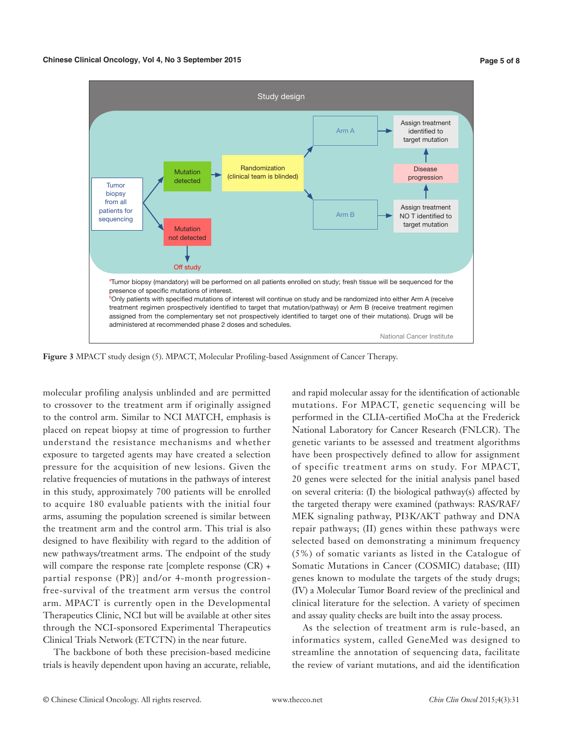

**Figure 3** MPACT study design (5). MPACT, Molecular Profiling-based Assignment of Cancer Therapy.

molecular profiling analysis unblinded and are permitted to crossover to the treatment arm if originally assigned to the control arm. Similar to NCI MATCH, emphasis is placed on repeat biopsy at time of progression to further understand the resistance mechanisms and whether exposure to targeted agents may have created a selection pressure for the acquisition of new lesions. Given the relative frequencies of mutations in the pathways of interest in this study, approximately 700 patients will be enrolled to acquire 180 evaluable patients with the initial four arms, assuming the population screened is similar between the treatment arm and the control arm. This trial is also designed to have flexibility with regard to the addition of new pathways/treatment arms. The endpoint of the study will compare the response rate [complete response (CR) + partial response (PR)] and/or 4-month progressionfree-survival of the treatment arm versus the control arm. MPACT is currently open in the Developmental Therapeutics Clinic, NCI but will be available at other sites through the NCI-sponsored Experimental Therapeutics Clinical Trials Network (ETCTN) in the near future.

The backbone of both these precision-based medicine trials is heavily dependent upon having an accurate, reliable,

and rapid molecular assay for the identification of actionable mutations. For MPACT, genetic sequencing will be performed in the CLIA-certified MoCha at the Frederick National Laboratory for Cancer Research (FNLCR). The genetic variants to be assessed and treatment algorithms have been prospectively defined to allow for assignment of specific treatment arms on study. For MPACT, 20 genes were selected for the initial analysis panel based on several criteria: (I) the biological pathway(s) affected by the targeted therapy were examined (pathways: RAS/RAF/ MEK signaling pathway, PI3K/AKT pathway and DNA repair pathways; (II) genes within these pathways were selected based on demonstrating a minimum frequency (5%) of somatic variants as listed in the Catalogue of Somatic Mutations in Cancer (COSMIC) database; (III) genes known to modulate the targets of the study drugs; (IV) a Molecular Tumor Board review of the preclinical and clinical literature for the selection. A variety of specimen and assay quality checks are built into the assay process.

As the selection of treatment arm is rule-based, an informatics system, called GeneMed was designed to streamline the annotation of sequencing data, facilitate the review of variant mutations, and aid the identification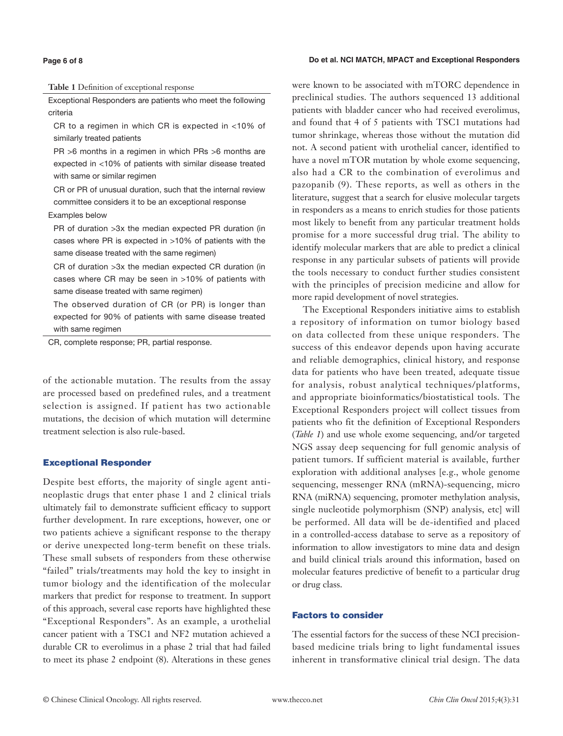#### **Page 6 of 8**

#### **Do et al. NCI MATCH, MPACT and Exceptional Responders**

**Table 1** Definition of exceptional response

Exceptional Responders are patients who meet the following criteria

CR to a regimen in which CR is expected in <10% of similarly treated patients

PR >6 months in a regimen in which PRs >6 months are expected in <10% of patients with similar disease treated with same or similar regimen

CR or PR of unusual duration, such that the internal review committee considers it to be an exceptional response

### Examples below

PR of duration >3x the median expected PR duration (in cases where PR is expected in >10% of patients with the same disease treated with the same regimen)

CR of duration >3x the median expected CR duration (in cases where CR may be seen in >10% of patients with same disease treated with same regimen)

The observed duration of CR (or PR) is longer than expected for 90% of patients with same disease treated with same regimen

CR, complete response; PR, partial response.

of the actionable mutation. The results from the assay are processed based on predefined rules, and a treatment selection is assigned. If patient has two actionable mutations, the decision of which mutation will determine treatment selection is also rule-based.

## Exceptional Responder

Despite best efforts, the majority of single agent antineoplastic drugs that enter phase 1 and 2 clinical trials ultimately fail to demonstrate sufficient efficacy to support further development. In rare exceptions, however, one or two patients achieve a significant response to the therapy or derive unexpected long-term benefit on these trials. These small subsets of responders from these otherwise "failed" trials/treatments may hold the key to insight in tumor biology and the identification of the molecular markers that predict for response to treatment. In support of this approach, several case reports have highlighted these "Exceptional Responders". As an example, a urothelial cancer patient with a TSC1 and NF2 mutation achieved a durable CR to everolimus in a phase 2 trial that had failed to meet its phase 2 endpoint (8). Alterations in these genes were known to be associated with mTORC dependence in preclinical studies. The authors sequenced 13 additional patients with bladder cancer who had received everolimus, and found that 4 of 5 patients with TSC1 mutations had tumor shrinkage, whereas those without the mutation did not. A second patient with urothelial cancer, identified to have a novel mTOR mutation by whole exome sequencing, also had a CR to the combination of everolimus and pazopanib (9). These reports, as well as others in the literature, suggest that a search for elusive molecular targets in responders as a means to enrich studies for those patients most likely to benefit from any particular treatment holds promise for a more successful drug trial. The ability to identify molecular markers that are able to predict a clinical response in any particular subsets of patients will provide the tools necessary to conduct further studies consistent with the principles of precision medicine and allow for more rapid development of novel strategies.

The Exceptional Responders initiative aims to establish a repository of information on tumor biology based on data collected from these unique responders. The success of this endeavor depends upon having accurate and reliable demographics, clinical history, and response data for patients who have been treated, adequate tissue for analysis, robust analytical techniques/platforms, and appropriate bioinformatics/biostatistical tools. The Exceptional Responders project will collect tissues from patients who fit the definition of Exceptional Responders (*Table 1*) and use whole exome sequencing, and/or targeted NGS assay deep sequencing for full genomic analysis of patient tumors. If sufficient material is available, further exploration with additional analyses [e.g., whole genome sequencing, messenger RNA (mRNA)-sequencing, micro RNA (miRNA) sequencing, promoter methylation analysis, single nucleotide polymorphism (SNP) analysis, etc] will be performed. All data will be de-identified and placed in a controlled-access database to serve as a repository of information to allow investigators to mine data and design and build clinical trials around this information, based on molecular features predictive of benefit to a particular drug or drug class.

#### Factors to consider

The essential factors for the success of these NCI precisionbased medicine trials bring to light fundamental issues inherent in transformative clinical trial design. The data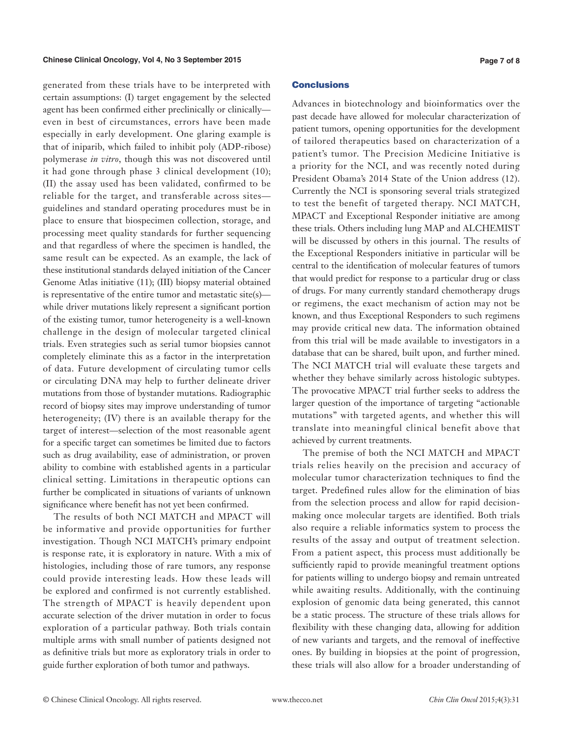#### **Chinese Clinical Oncology, Vol 4, No 3 September 2015**

generated from these trials have to be interpreted with certain assumptions: (I) target engagement by the selected agent has been confirmed either preclinically or clinically even in best of circumstances, errors have been made especially in early development. One glaring example is that of iniparib, which failed to inhibit poly (ADP-ribose) polymerase *in vitro*, though this was not discovered until it had gone through phase 3 clinical development (10); (II) the assay used has been validated, confirmed to be reliable for the target, and transferable across sites guidelines and standard operating procedures must be in place to ensure that biospecimen collection, storage, and processing meet quality standards for further sequencing and that regardless of where the specimen is handled, the same result can be expected. As an example, the lack of these institutional standards delayed initiation of the Cancer Genome Atlas initiative (11); (III) biopsy material obtained is representative of the entire tumor and metastatic site(s) while driver mutations likely represent a significant portion of the existing tumor, tumor heterogeneity is a well-known challenge in the design of molecular targeted clinical trials. Even strategies such as serial tumor biopsies cannot completely eliminate this as a factor in the interpretation of data. Future development of circulating tumor cells or circulating DNA may help to further delineate driver mutations from those of bystander mutations. Radiographic record of biopsy sites may improve understanding of tumor heterogeneity; (IV) there is an available therapy for the target of interest—selection of the most reasonable agent for a specific target can sometimes be limited due to factors such as drug availability, ease of administration, or proven ability to combine with established agents in a particular clinical setting. Limitations in therapeutic options can further be complicated in situations of variants of unknown significance where benefit has not yet been confirmed.

The results of both NCI MATCH and MPACT will be informative and provide opportunities for further investigation. Though NCI MATCH's primary endpoint is response rate, it is exploratory in nature. With a mix of histologies, including those of rare tumors, any response could provide interesting leads. How these leads will be explored and confirmed is not currently established. The strength of MPACT is heavily dependent upon accurate selection of the driver mutation in order to focus exploration of a particular pathway. Both trials contain multiple arms with small number of patients designed not as definitive trials but more as exploratory trials in order to guide further exploration of both tumor and pathways.

#### Conclusions

Advances in biotechnology and bioinformatics over the past decade have allowed for molecular characterization of patient tumors, opening opportunities for the development of tailored therapeutics based on characterization of a patient's tumor. The Precision Medicine Initiative is a priority for the NCI, and was recently noted during President Obama's 2014 State of the Union address (12). Currently the NCI is sponsoring several trials strategized to test the benefit of targeted therapy. NCI MATCH, MPACT and Exceptional Responder initiative are among these trials. Others including lung MAP and ALCHEMIST will be discussed by others in this journal. The results of the Exceptional Responders initiative in particular will be central to the identification of molecular features of tumors that would predict for response to a particular drug or class of drugs. For many currently standard chemotherapy drugs or regimens, the exact mechanism of action may not be known, and thus Exceptional Responders to such regimens may provide critical new data. The information obtained from this trial will be made available to investigators in a database that can be shared, built upon, and further mined. The NCI MATCH trial will evaluate these targets and whether they behave similarly across histologic subtypes. The provocative MPACT trial further seeks to address the larger question of the importance of targeting "actionable mutations" with targeted agents, and whether this will translate into meaningful clinical benefit above that achieved by current treatments.

The premise of both the NCI MATCH and MPACT trials relies heavily on the precision and accuracy of molecular tumor characterization techniques to find the target. Predefined rules allow for the elimination of bias from the selection process and allow for rapid decisionmaking once molecular targets are identified. Both trials also require a reliable informatics system to process the results of the assay and output of treatment selection. From a patient aspect, this process must additionally be sufficiently rapid to provide meaningful treatment options for patients willing to undergo biopsy and remain untreated while awaiting results. Additionally, with the continuing explosion of genomic data being generated, this cannot be a static process. The structure of these trials allows for flexibility with these changing data, allowing for addition of new variants and targets, and the removal of ineffective ones. By building in biopsies at the point of progression, these trials will also allow for a broader understanding of